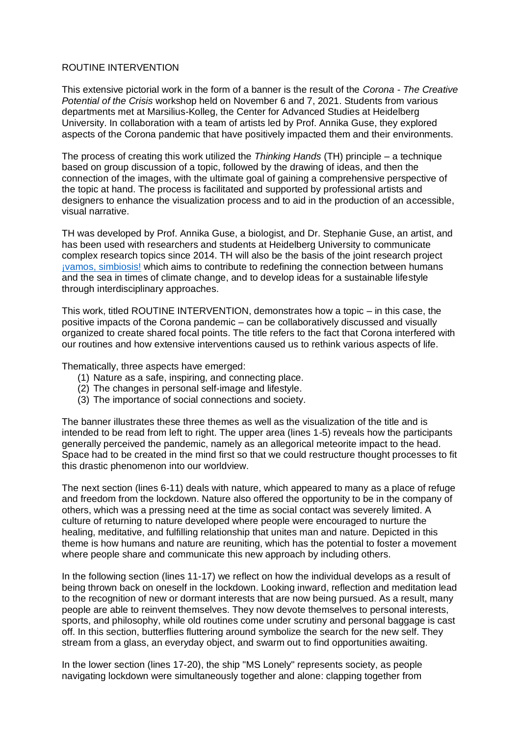## ROUTINE INTERVENTION

This extensive pictorial work in the form of a banner is the result of the *Corona - The Creative Potential of the Crisis* workshop held on November 6 and 7, 2021. Students from various departments met at Marsilius-Kolleg, the Center for Advanced Studies at Heidelberg University. In collaboration with a team of artists led by Prof. Annika Guse, they explored aspects of the Corona pandemic that have positively impacted them and their environments.

The process of creating this work utilized the *Thinking Hands* (TH) principle – a technique based on group discussion of a topic, followed by the drawing of ideas, and then the connection of the images, with the ultimate goal of gaining a comprehensive perspective of the topic at hand. The process is facilitated and supported by professional artists and designers to enhance the visualization process and to aid in the production of an accessible, visual narrative.

TH was developed by Prof. Annika Guse, a biologist, and Dr. Stephanie Guse, an artist, and has been used with researchers and students at Heidelberg University to communicate complex research topics since 2014. TH will also be the basis of the joint research project [¡vamos, simbiosis!](https://vamossimbiosis.org/) which aims to contribute to redefining the connection between humans and the sea in times of climate change, and to develop ideas for a sustainable lifestyle through interdisciplinary approaches.

This work, titled ROUTINE INTERVENTION, demonstrates how a topic – in this case, the positive impacts of the Corona pandemic – can be collaboratively discussed and visually organized to create shared focal points. The title refers to the fact that Corona interfered with our routines and how extensive interventions caused us to rethink various aspects of life.

Thematically, three aspects have emerged:

- (1) Nature as a safe, inspiring, and connecting place.
- (2) The changes in personal self-image and lifestyle.
- (3) The importance of social connections and society.

The banner illustrates these three themes as well as the visualization of the title and is intended to be read from left to right. The upper area (lines 1-5) reveals how the participants generally perceived the pandemic, namely as an allegorical meteorite impact to the head. Space had to be created in the mind first so that we could restructure thought processes to fit this drastic phenomenon into our worldview.

The next section (lines 6-11) deals with nature, which appeared to many as a place of refuge and freedom from the lockdown. Nature also offered the opportunity to be in the company of others, which was a pressing need at the time as social contact was severely limited. A culture of returning to nature developed where people were encouraged to nurture the healing, meditative, and fulfilling relationship that unites man and nature. Depicted in this theme is how humans and nature are reuniting, which has the potential to foster a movement where people share and communicate this new approach by including others.

In the following section (lines 11-17) we reflect on how the individual develops as a result of being thrown back on oneself in the lockdown. Looking inward, reflection and meditation lead to the recognition of new or dormant interests that are now being pursued. As a result, many people are able to reinvent themselves. They now devote themselves to personal interests, sports, and philosophy, while old routines come under scrutiny and personal baggage is cast off. In this section, butterflies fluttering around symbolize the search for the new self. They stream from a glass, an everyday object, and swarm out to find opportunities awaiting.

In the lower section (lines 17-20), the ship "MS Lonely" represents society, as people navigating lockdown were simultaneously together and alone: clapping together from